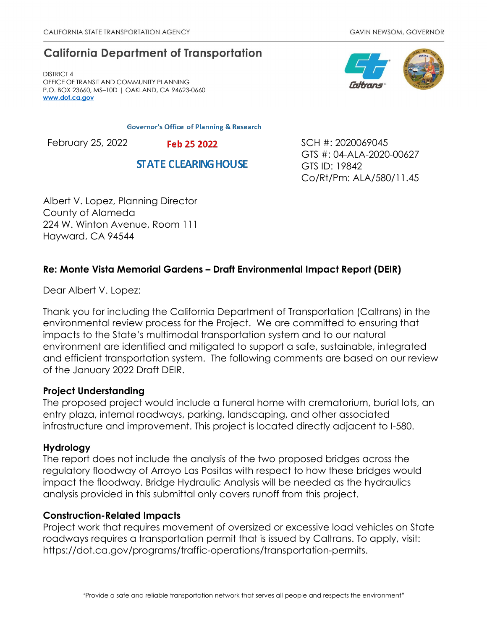# **California Department of Transportation**

DISTRICT 4 OFFICE OF TRANSIT AND COMMUNITY PLANNING P.O. BOX 23660, MS–10D | OAKLAND, CA 94623-0660 **[www.dot.ca.gov](http://www.dot.ca.gov/)**

**Governor's Office of Planning & Research** 

February 25, 2022 **Feb 25 2022** SCH #: 2020069045

**STATE CLEARING HOUSE** 



Co/Rt/Pm: ALA/580/11.45

Albert V. Lopez, Planning Director County of Alameda 224 W. Winton Avenue, Room 111 Hayward, CA 94544

## **Re: Monte Vista Memorial Gardens – Draft Environmental Impact Report (DEIR)**

Dear Albert V. Lopez:

Thank you for including the California Department of Transportation (Caltrans) in the environmental review process for the Project. We are committed to ensuring that impacts to the State's multimodal transportation system and to our natural environment are identified and mitigated to support a safe, sustainable, integrated and efficient transportation system. The following comments are based on our review of the January 2022 Draft DEIR.

### **Project Understanding**

The proposed project would include a funeral home with crematorium, burial lots, an entry plaza, internal roadways, parking, landscaping, and other associated infrastructure and improvement. This project is located directly adjacent to I-580.

## **Hydrology**

The report does not include the analysis of the two proposed bridges across the regulatory floodway of Arroyo Las Positas with respect to how these bridges would impact the floodway. Bridge Hydraulic Analysis will be needed as the hydraulics analysis provided in this submittal only covers runoff from this project.

### **Construction-Related Impacts**

Project work that requires movement of oversized or excessive load vehicles on State roadways requires a transportation permit that is issued by Caltrans. To apply, visit: https://dot.ca.gov/programs/traffic-operations/transportation-permits.